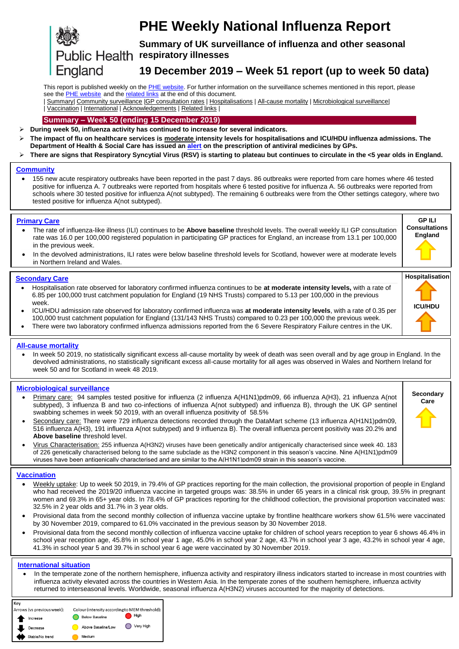

# **PHE Weekly National Influenza Report**

**Summary of UK surveillance of influenza and other seasonal Public Health respiratory illnesses** 

## <span id="page-0-0"></span>**19 December 2019 – Week 51 report (up to week 50 data)**

<span id="page-0-1"></span>This report is published weekly on the **PHE website**. For further information on the surveillance schemes mentioned in this report, please see the PHE [website](https://www.gov.uk/sources-of-uk-flu-data-influenza-surveillance-in-the-uk) and th[e related links](#page-11-0) at the end of this document.

| [Summary|](#page-0-0) [Community surveillance](#page-1-0) [|GP consultation rates](#page-2-0) | [Hospitalisations](#page-3-0) [| All-cause mortality](#page-4-0) [| Microbiological surveillance|](#page-5-0) | [Vaccination](#page-7-0) | [International](#page-8-0) | [Acknowledgements](#page-10-0) [| Related links](#page-11-0) |

#### **Summary – Week 50 (ending 15 December 2019)**

**During week 50, influenza activity has continued to increase for several indicators.**

- **The impact of flu on healthcare services is moderate intensity levels for hospitalisations and ICU/HDU influenza admissions. The Department of Health & Social Care has issued an [alert](https://www.cas.mhra.gov.uk/ViewandAcknowledgment/ViewAlert.aspx?AlertID=102939) on the prescription of antiviral medicines by GPs.**
- **There are signs that Respiratory Syncytial Virus (RSV) is starting to plateau but continues to circulate in the <5 year olds in England.**

#### **[Community](#page-1-0)**

 155 new acute respiratory outbreaks have been reported in the past 7 days. 86 outbreaks were reported from care homes where 46 tested positive for influenza A. 7 outbreaks were reported from hospitals where 6 tested positive for influenza A. 56 outbreaks were reported from schools where 30 tested positive for influenza A(not subtyped). The remaining 6 outbreaks were from the Other settings category, where two tested positive for influenza A(not subtyped).

#### **[Primary Care](#page-2-0)**

- The rate of influenza-like illness (ILI) continues to be **Above baseline** threshold levels. The overall weekly ILI GP consultation rate was 16.0 per 100,000 registered population in participating GP practices for England, an increase from 13.1 per 100,000 in the previous week.
- In the devolved administrations, ILI rates were below baseline threshold levels for Scotland, however were at moderate levels in Northern Ireland and Wales.

#### **[Secondary Care](#page-3-0)**

- Hospitalisation rate observed for laboratory confirmed influenza continues to be **at moderate intensity levels,** with a rate of 6.85 per 100,000 trust catchment population for England (19 NHS Trusts) compared to 5.13 per 100,000 in the previous week.
- ICU/HDU admission rate observed for laboratory confirmed influenza was **at moderate intensity levels**, with a rate of 0.35 per 100,000 trust catchment population for England (131/143 NHS Trusts) compared to 0.23 per 100,000 the previous week.
- There were two laboratory confirmed influenza admissions reported from the 6 Severe Respiratory Failure centres in the UK.

#### **[All-cause mortality](#page-4-0)**

 $\overline{a}$ 

 In week 50 2019, no statistically significant excess all-cause mortality by week of death was seen overall and by age group in England. In the devolved administrations, no statistically significant excess all-cause mortality for all ages was observed in Wales and Northern Ireland for week 50 and for Scotland in week 48 2019.

#### **[Microbiological surveillance](#page-5-0)**

- Primary care: 94 samples tested positive for influenza (2 influenza A(H1N1)pdm09, 66 influenza A(H3), 21 influenza A(not subtyped), 3 influenza B and two co-infections of influenza A(not subtyped) and influenza B), through the UK GP sentinel swabbing schemes in week 50 2019, with an overall influenza positivity of 58.5%
- Secondary care: There were 729 influenza detections recorded through the DataMart scheme (13 influenza A(H1N1)pdm09, 516 influenza A(H3), 191 influenza A(not subtyped) and 9 influenza B). The overall influenza percent positivity was 20.2% and **Above baseline** threshold level.
- Virus Characterisation: 255 influenza A(H3N2) viruses have been genetically and/or antigenically characterised since week 40. 183 of 226 genetically characterised belong to the same subclade as the H3N2 component in this season's vaccine. Nine A(H1N1)pdm09 viruses have been antigenically characterised and are similar to the A(H1N1)pdm09 strain in this season's vaccine.

#### Ξ **[Vaccination](#page-7-0)**

- Weekly uptake: Up to week 50 2019, in 79.4% of GP practices reporting for the main collection, the provisional proportion of people in England who had received the 2019/20 influenza vaccine in targeted groups was: 38.5% in under 65 years in a clinical risk group, 39.5% in pregnant women and 69.3% in 65+ year olds. In 78.4% of GP practices reporting for the childhood collection, the provisional proportion vaccinated was: 32.5% in 2 year olds and 31.7% in 3 year olds.
- Provisional data from the second monthly collection of influenza vaccine uptake by frontline healthcare workers show 61.5% were vaccinated by 30 November 2019, compared to 61.0% vaccinated in the previous season by 30 November 2018.
- Provisional data from the second monthly collection of influenza vaccine uptake for children of school years reception to year 6 shows 46.4% in school year reception age, 45.8% in school year 1 age, 45.0% in school year 2 age, 43.7% in school year 3 age, 43.2% in school year 4 age, 41.3% in school year 5 and 39.7% in school year 6 age were vaccinated by 30 November 2019.

#### **[International situation](#page-8-0)**

 In the temperate zone of the northern hemisphere, influenza activity and respiratory illness indicators started to increase in most countries with influenza activity elevated across the countries in Western Asia. In the temperate zones of the southern hemisphere, influenza activity returned to interseasonal levels. Worldwide, seasonal influenza A(H3N2) viruses accounted for the majority of detections.





**Secondary Care**

**GP ILI Consultations England**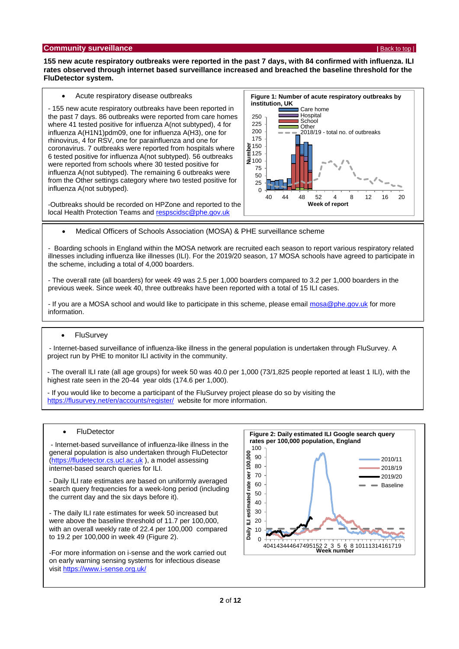#### <span id="page-1-0"></span>**Community surveillance <b>Community surveillance <b>[Back to top](#page-0-1) |** Back to top | **Back to top |** Back to top | **Back to top |**

**155 new acute respiratory outbreaks were reported in the past 7 days, with 84 confirmed with influenza. ILI rates observed through internet based surveillance increased and breached the baseline threshold for the FluDetector system.**

Acute respiratory disease outbreaks

- 155 new acute respiratory outbreaks have been reported in the past 7 days. 86 outbreaks were reported from care homes where 41 tested positive for influenza A(not subtyped), 4 for influenza A(H1N1)pdm09, one for influenza A(H3), one for rhinovirus, 4 for RSV, one for parainfluenza and one for coronavirus. 7 outbreaks were reported from hospitals where 6 tested positive for influenza A(not subtyped). 56 outbreaks were reported from schools where 30 tested positive for influenza A(not subtyped). The remaining 6 outbreaks were from the Other settings category where two tested positive for influenza A(not subtyped).

-Outbreaks should be recorded on HPZone and reported to the local Health Protection Teams and [respscidsc@phe.gov.uk](mailto:respscidsc@phe.gov.uk)



Medical Officers of Schools Association (MOSA) & PHE surveillance scheme

- Boarding schools in England within the MOSA network are recruited each season to report various respiratory related illnesses including influenza like illnesses (ILI). For the 2019/20 season, 17 MOSA schools have agreed to participate in the scheme, including a total of 4,000 boarders.

- The overall rate (all boarders) for week 49 was 2.5 per 1,000 boarders compared to 3.2 per 1,000 boarders in the previous week. Since week 40, three outbreaks have been reported with a total of 15 ILI cases.

- If you are a MOSA school and would like to participate in this scheme, please email [mosa@phe.gov.uk](mailto:mosa@phe.gov.uk) for more information.

#### • FluSurvev

- Internet-based surveillance of influenza-like illness in the general population is undertaken through FluSurvey. A project run by PHE to monitor ILI activity in the community.

- The overall ILI rate (all age groups) for week 50 was 40.0 per 1,000 (73/1,825 people reported at least 1 ILI), with the highest rate seen in the 20-44 year olds (174.6 per 1,000).

- If you would like to become a participant of the FluSurvey project please do so by visiting the <https://flusurvey.net/en/accounts/register/> website for more information.

#### **FluDetector**

- Internet-based surveillance of influenza-like illness in the general population is also undertaken through FluDetector [\(https://fludetector.cs.ucl.ac.uk](https://fludetector.cs.ucl.ac.uk/) ), a model assessing internet-based search queries for ILI.

- Daily ILI rate estimates are based on uniformly averaged search query frequencies for a week-long period (including the current day and the six days before it).

- The daily ILI rate estimates for week 50 increased but were above the baseline threshold of 11.7 per 100,000, with an overall weekly rate of 22.4 per 100,000 compared to 19.2 per 100,000 in week 49 (Figure 2).

-For more information on i-sense and the work carried out on early warning sensing systems for infectious disease visi[t https://www.i-sense.org.uk/](https://www.i-sense.org.uk/)

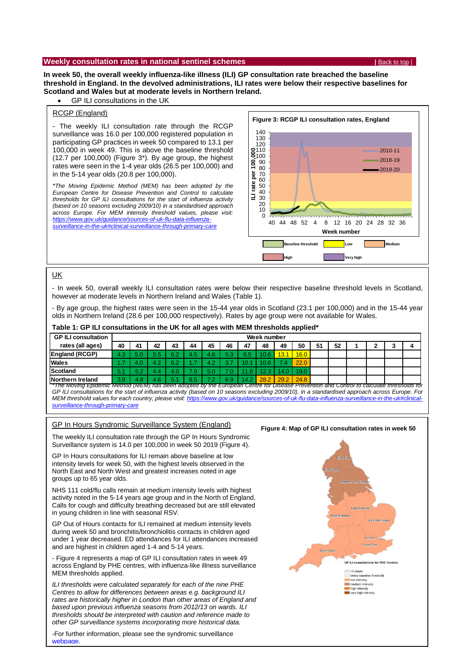#### <span id="page-2-0"></span>**Weekly consultation rates in national sentinel schemes <b>Back to the last to top | [Back to top](#page-0-1)** | **Back to top** |

**In week 50, the overall weekly influenza-like illness (ILI) GP consultation rate breached the baseline threshold in England. In the devolved administrations, ILI rates were below their respective baselines for Scotland and Wales but at moderate levels in Northern Ireland.** 

GP ILI consultations in the UK

#### RCGP (England)

- The weekly ILI consultation rate through the RCGP surveillance was 16.0 per 100,000 registered population in participating GP practices in week 50 compared to 13.1 per 100,000 in week 49. This is above the baseline threshold (12.7 per 100,000) (Figure 3\*). By age group, the highest rates were seen in the 1-4 year olds (26.5 per 100,000) and in the 5-14 year olds (20.8 per 100,000).

*\*The Moving Epidemic Method (MEM) has been adopted by the European Centre for Disease Prevention and Control to calculate thresholds for GP ILI consultations for the start of influenza activity (based on 10 seasons excluding 2009/10) in a standardised approach across Europe. For MEM intensity threshold values, please visit: [https://www.gov.uk/guidance/sources-of-uk-flu-data-influenza](https://www.gov.uk/guidance/sources-of-uk-flu-data-influenza-surveillance-in-the-uk#clinical-surveillance-through-primary-care)[surveillance-in-the-uk#clinical-surveillance-through-primary-care](https://www.gov.uk/guidance/sources-of-uk-flu-data-influenza-surveillance-in-the-uk#clinical-surveillance-through-primary-care)*



#### UK

- In week 50, overall weekly ILI consultation rates were below their respective baseline threshold levels in Scotland, however at moderate levels in Northern Ireland and Wales (Table 1).

- By age group, the highest rates were seen in the 15-44 year olds in Scotland (23.1 per 100,000) and in the 15-44 year olds in Northern Ireland (28.6 per 100,000 respectively). Rates by age group were not available for Wales.

#### **Table 1: GP ILI consultations in the UK for all ages with MEM thresholds applied\***

| <b>GP ILI consultation</b>                                                                                                              | Week number |     |     |            |     |     |     |           |      |      |      |    |    |  |  |
|-----------------------------------------------------------------------------------------------------------------------------------------|-------------|-----|-----|------------|-----|-----|-----|-----------|------|------|------|----|----|--|--|
| rates (all ages)                                                                                                                        | 40          | 41  | 42  | 43         | 44  | 45  | 46  | 47        | 48   | 49   | 50   | 51 | 52 |  |  |
| <b>England (RCGP)</b>                                                                                                                   | 4.3         |     | 5.5 | 60         | 4.5 | 4.6 | 5.3 | 6.5       |      | 13.  | 16.0 |    |    |  |  |
| <b>Wales</b>                                                                                                                            | 1.7         | 4.0 |     | R 2<br>ے۔ت |     | 4.2 |     | ٦Ο.       |      |      | 22.0 |    |    |  |  |
| <b>Scotland</b>                                                                                                                         | 5.1         | 6.2 | 4.4 |            | 79. | 5.0 |     | $\cdot$ 8 |      |      | 19.0 |    |    |  |  |
| Northern Ireland                                                                                                                        | 3.9         | 1.8 | 4.6 |            | 6.5 |     | 6.9 | 14.2      | 28.2 | 29.2 | 24.8 |    |    |  |  |
| The Moving Epidemic Method (MEM) has been adopted by the European Centre for Disease Prevention and Control to calculate thresholds for |             |     |     |            |     |     |     |           |      |      |      |    |    |  |  |

*GP ILI consultations for the start of influenza activity (based on 10 seasons excluding 2009/10), in a standardised approach across Europe. For*  MEM threshold values for each country, please visit; https://www.gov.uk/guidance/sources-of-uk-flu-data-influenza-surveillance-in-the-uk# *[surveillance-through-primary-care](https://www.gov.uk/guidance/sources-of-uk-flu-data-influenza-surveillance-in-the-uk#clinical-surveillance-through-primary-care)*

#### GP In Hours Syndromic Surveillance System (England)

The weekly ILI consultation rate through the GP In Hours Syndromic Surveillance system is 14.0 per 100,000 in week 50 2019 (Figure 4).

GP In Hours consultations for ILI remain above baseline at low intensity levels for week 50, with the highest levels observed in the North East and North West and greatest increases noted in age groups up to 65 year olds.

NHS 111 cold/flu calls remain at medium intensity levels with highest activity noted in the 5-14 years age group and in the North of England. Calls for cough and difficulty breathing decreased but are still elevated in young children in line with seasonal RSV.

GP Out of Hours contacts for ILI remained at medium intensity levels during week 50 and bronchitis/bronchiolitis contacts in children aged under 1 year decreased. ED attendances for ILI attendances increased and are highest in children aged 1-4 and 5-14 years.

- Figure 4 represents a map of GP ILI consultation rates in week 49 across England by PHE centres, with influenza-like illness surveillance MEM thresholds applied.

**3** of **12** *rates are historically higher in London than other areas of England and ILI thresholds were calculated separately for each of the nine PHE Centres to allow for differences between areas e.g. background ILI based upon previous influenza seasons from 2012/13 on wards. ILI thresholds should be interpreted with caution and reference made to other GP surveillance systems incorporating more historical data.* 

-For further information, please see the syndromic surveillance [webpage.](https://www.gov.uk/government/publications/gp-in-hours-weekly-bulletins-for-2019)

#### **Figure 4: Map of GP ILI consultation rates in week 50**

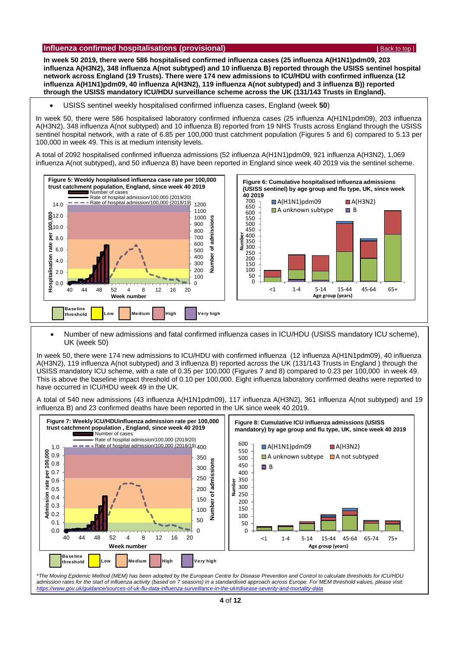#### <span id="page-3-0"></span>**Influenza confirmed hospitalisations (provisional) <b>Alternative Confirmed According to the Confirmed According to the Confirmed According to the Confirmed According to the Confirmed According to the Confirmed According to**

**In week 50 2019, there were 586 hospitalised confirmed influenza cases (25 influenza A(H1N1)pdm09, 203 influenza A(H3N2), 348 influenza A(not subtyped) and 10 influenza B) reported through the USISS sentinel hospital network across England (19 Trusts). There were 174 new admissions to ICU/HDU with confirmed influenza (12 influenza A(H1N1)pdm09, 40 influenza A(H3N2), 119 influenza A(not subtyped) and 3 influenza B)) reported through the USISS mandatory ICU/HDU surveillance scheme across the UK (131/143 Trusts in England).**

USISS sentinel weekly hospitalised confirmed influenza cases, England (week **50**)

In week 50, there were 586 hospitalised laboratory confirmed influenza cases (25 influenza A(H1N1pdm09), 203 influenza A(H3N2), 348 influenza A(not subtyped) and 10 influenza B) reported from 19 NHS Trusts across England through the USISS sentinel hospital network, with a rate of 6.85 per 100,000 trust catchment population (Figures 5 and 6) compared to 5.13 per 100,000 in week 49. This is at medium intensity levels.

A total of 2092 hospitalised confirmed influenza admissions (52 influenza A(H1N1)pdm09, 921 influenza A(H3N2), 1,069 influenza A(not subtyped), and 50 influenza B) have been reported in England since week 40 2019 via the sentinel scheme.



 Number of new admissions and fatal confirmed influenza cases in ICU/HDU (USISS mandatory ICU scheme), UK (week 50)

In week 50, there were 174 new admissions to ICU/HDU with confirmed influenza (12 influenza A(H1N1pdm09), 40 influenza A(H3N2), 119 influenza A(not subtyped) and 3 influenza B) reported across the UK (131/143 Trusts in England ) through the USISS mandatory ICU scheme, with a rate of 0.35 per 100,000 (Figures 7 and 8) compared to 0.23 per 100,000 in week 49. This is above the baseline impact threshold of 0.10 per 100,000. Eight influenza laboratory confirmed deaths were reported to have occurred in ICU/HDU week 49 in the UK. *<https://www.gov.uk/guidance/sources-of-uk-flu-data-influenza-surveillance-in-the-uk#disease-severity-and-mortality-data>*

A total of 540 new admissions (43 influenza A(H1N1pdm09), 117 influenza A(H3N2), 361 influenza A(not subtyped) and 19 influenza B) and 23 confirmed deaths have been reported in the UK since week 40 2019.



*<https://www.gov.uk/guidance/sources-of-uk-flu-data-influenza-surveillance-in-the-uk#disease-severity-and-mortality-data>*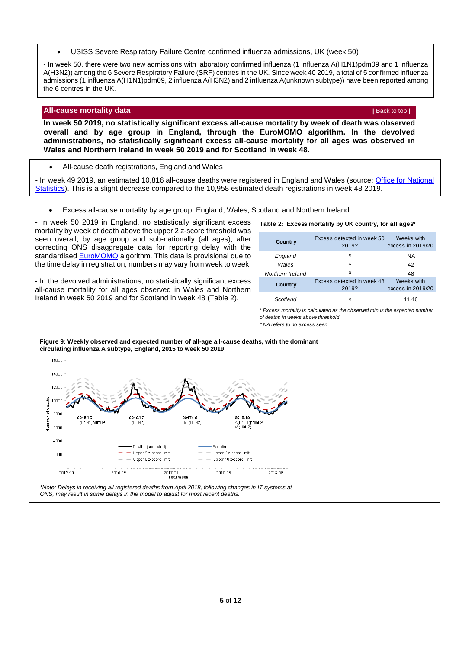USISS Severe Respiratory Failure Centre confirmed influenza admissions, UK (week 50)

<span id="page-4-0"></span>- In week 50, there were two new admissions with laboratory confirmed influenza (1 influenza A(H1N1)pdm09 and 1 influenza A(H3N2)) among the 6 Severe Respiratory Failure (SRF) centres in the UK. Since week 40 2019, a total of 5 confirmed influenza admissions (1 influenza A(H1N1)pdm09, 2 influenza A(H3N2) and 2 influenza A(unknown subtype)) have been reported among the 6 centres in the UK.

#### **All-cause mortality data** *[Back to top](#page-0-1) | <b>Back to top | Back to top | Back to top | Back to top | Back to top | Back to top |*

**In week 50 2019, no statistically significant excess all-cause mortality by week of death was observed overall and by age group in England, through the EuroMOMO algorithm. In the devolved administrations, no statistically significant excess all-cause mortality for all ages was observed in Wales and Northern Ireland in week 50 2019 and for Scotland in week 48.** 

All-cause death registrations, England and Wales

- In week 49 2019, an estimated 10,816 all-cause deaths were registered in England and Wales (source: [Office for National](http://www.ons.gov.uk/peoplepopulationandcommunity/birthsdeathsandmarriages/deaths/datasets/weeklyprovisionalfiguresondeathsregisteredinenglandandwales)  [Statistics\)](http://www.ons.gov.uk/peoplepopulationandcommunity/birthsdeathsandmarriages/deaths/datasets/weeklyprovisionalfiguresondeathsregisteredinenglandandwales). This is a slight decrease compared to the 10,958 estimated death registrations in week 48 2019.

Excess all-cause mortality by age group, England, Wales, Scotland and Northern Ireland

- In week 50 2019 in England, no statistically significant excess mortality by week of death above the upper 2 z-score threshold was seen overall, by age group and sub-nationally (all ages), after correcting ONS disaggregate data for reporting delay with the standardise[d EuroMOMO](http://www.euromomo.eu/) algorithm. This data is provisional due to the time delay in registration; numbers may vary from week to week.

- In the devolved administrations, no statistically significant excess all-cause mortality for all ages observed in Wales and Northern Ireland in week 50 2019 and for Scotland in week 48 (Table 2).

| Country          | Excess detected in week 50<br>2019? | Weeks with<br>excess in 2019/20 |
|------------------|-------------------------------------|---------------------------------|
| England          | ×                                   | <b>NA</b>                       |
| Wales            | $\times$                            | 42                              |
| Northern Ireland | x                                   | 48                              |
| Country          | Excess detected in week 48<br>2019? | Weeks with<br>excess in 2019/20 |
| Scotland         | ×                                   | 41.46                           |

**Table 2: Excess mortality by UK country, for all ages\***

*\* Excess mortality is calculated as the observed minus the expected number of deaths in weeks above threshold* 

*\* NA refers to no excess seen*



**Figure 9: Weekly observed and expected number of all-age all-cause deaths, with the dominant circulating influenza A subtype, England, 2015 to week 50 2019**

*<sup>\*</sup>Note: Delays in receiving all registered deaths from April 2018, following changes in IT systems at ONS, may result in some delays in the model to adjust for most recent deaths.*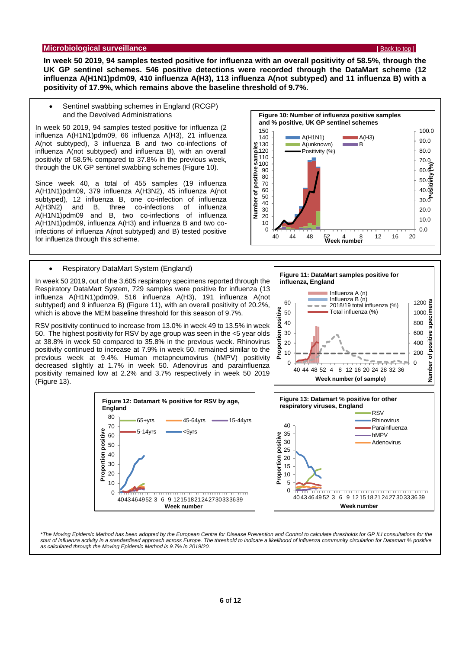#### <span id="page-5-0"></span>**Microbiological surveillance |** [Back to top](#page-0-1) |

**In week 50 2019, 94 samples tested positive for influenza with an overall positivity of 58.5%, through the UK GP sentinel schemes. 546 positive detections were recorded through the DataMart scheme (12 influenza A(H1N1)pdm09, 410 influenza A(H3), 113 influenza A(not subtyped) and 11 influenza B) with a positivity of 17.9%, which remains above the baseline threshold of 9.7%.**

 Sentinel swabbing schemes in England (RCGP) and the Devolved Administrations

In week 50 2019, 94 samples tested positive for influenza (2 influenza A(H1N1)pdm09, 66 influenza A(H3), 21 influenza A(not subtyped), 3 influenza B and two co-infections of influenza A(not subtyped) and influenza B), with an overall positivity of 58.5% compared to 37.8% in the previous week, through the UK GP sentinel swabbing schemes (Figure 10).

Since week 40, a total of 455 samples (19 influenza A(H1N1)pdm09, 379 influenza A(H3N2), 45 influenza A(not subtyped), 12 influenza B, one co-infection of influenza<br>A(H3N2) and B, three co-infections of influenza A(H3N2) and B, three co-infections of influenza A(H1N1)pdm09 and B, two co-infections of influenza A(H1N1)pdm09, influenza A(H3) and influenza B and two coinfections of influenza A(not subtyped) and B) tested positive for influenza through this scheme.



In week 50 2019, out of the 3,605 respiratory specimens reported through the Respiratory DataMart System, 729 samples were positive for influenza (13 influenza A(H1N1)pdm09, 516 influenza A(H3), 191 influenza A(not subtyped) and 9 influenza B) (Figure 11), with an overall positivity of 20.2%, which is above the MEM baseline threshold for this season of 9.7%.

RSV positivity continued to increase from 13.0% in week 49 to 13.5% in week 50. The highest positivity for RSV by age group was seen in the <5 year olds at 38.8% in week 50 compared to 35.8% in the previous week. Rhinovirus positivity continued to increase at 7.9% in week 50. remained similar to the previous week at 9.4%. Human metapneumovirus (hMPV) positivity decreased slightly at 1.7% in week 50. Adenovirus and parainfluenza positivity remained low at 2.2% and 3.7% respectively in week 50 2019 (Figure 13).











*\*The Moving Epidemic Method has been adopted by the European Centre for Disease Prevention and Control to calculate thresholds for GP ILI consultations for the*  start of influenza activity in a standardised approach across Europe. The threshold to indicate a likelihood of influenza community circulation for Datamart % positive *as calculated through the Moving Epidemic Method is 9.7% in 2019/20.*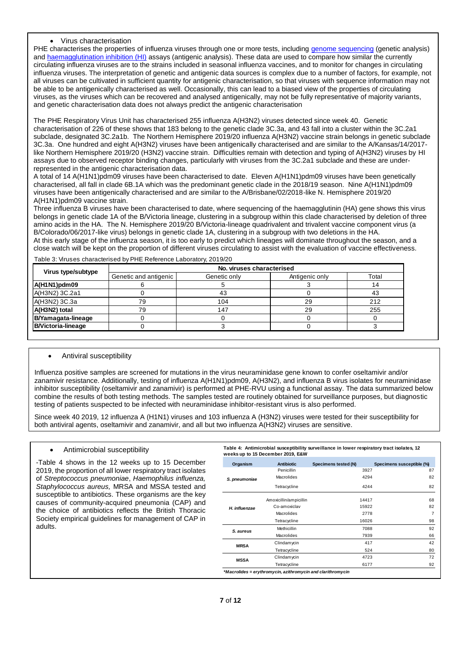#### Virus characterisation

PHE characterises the properties of influenza viruses through one or more tests, including [genome sequencing](http://www.cdc.gov/flu/professionals/laboratory/genetic-characterization.htm) (genetic analysis) and [haemagglutination inhibition \(HI\)](http://www.cdc.gov/flu/professionals/laboratory/antigenic.htm) assays (antigenic analysis). These data are used to compare how similar the currently circulating influenza viruses are to the strains included in seasonal influenza vaccines, and to monitor for changes in circulating influenza viruses. The interpretation of genetic and antigenic data sources is complex due to a number of factors, for example, not all viruses can be cultivated in sufficient quantity for antigenic characterisation, so that viruses with sequence information may not be able to be antigenically characterised as well. Occasionally, this can lead to a biased view of the properties of circulating viruses, as the viruses which can be recovered and analysed antigenically, may not be fully representative of majority variants, and genetic characterisation data does not always predict the antigenic characterisation

The PHE Respiratory Virus Unit has characterised 255 influenza A(H3N2) viruses detected since week 40. Genetic characterisation of 226 of these shows that 183 belong to the genetic clade 3C.3a, and 43 fall into a cluster within the 3C.2a1 subclade, designated 3C.2a1b. The Northern Hemisphere 2019/20 influenza A(H3N2) vaccine strain belongs in genetic subclade 3C.3a. One hundred and eight A(H3N2) viruses have been antigenically characterised and are similar to the A/Kansas/14/2017 like Northern Hemisphere 2019/20 (H3N2) vaccine strain. Difficulties remain with detection and typing of A(H3N2) viruses by HI assays due to observed receptor binding changes, particularly with viruses from the 3C.2a1 subclade and these are underrepresented in the antigenic characterisation data.

A total of 14 A(H1N1)pdm09 viruses have been characterised to date. Eleven A(H1N1)pdm09 viruses have been genetically characterised, all fall in clade 6B.1A which was the predominant genetic clade in the 2018/19 season. Nine A(H1N1)pdm09 viruses have been antigenically characterised and are similar to the A/Brisbane/02/2018-like N. Hemisphere 2019/20 A(H1N1)pdm09 vaccine strain.

Three influenza B viruses have been characterised to date, where sequencing of the haemagglutinin (HA) gene shows this virus belongs in genetic clade 1A of the B/Victoria lineage, clustering in a subgroup within this clade characterised by deletion of three amino acids in the HA. The N. Hemisphere 2019/20 B/Victoria-lineage quadrivalent and trivalent vaccine component virus (a B/Colorado/06/2017-like virus) belongs in genetic clade 1A, clustering in a subgroup with two deletions in the HA. At this early stage of the influenza season, it is too early to predict which lineages will dominate throughout the season, and a close watch will be kept on the proportion of different viruses circulating to assist with the evaluation of vaccine effectiveness.

| Virus type/subtype        | No. viruses characterised |              |                |       |  |  |  |
|---------------------------|---------------------------|--------------|----------------|-------|--|--|--|
|                           | Genetic and antigenic     | Genetic only | Antigenic only | Total |  |  |  |
| $A(H1N1)$ pdm09           |                           |              |                |       |  |  |  |
| A(H3N2) 3C.2a1            |                           | 43           |                | 43    |  |  |  |
| A(H3N2) 3C.3a             | 79                        | 104          | 29             | 212   |  |  |  |
| A(H3N2) total             | 79                        | 147          | 29             | 255   |  |  |  |
| B/Yamagata-lineage        |                           |              |                |       |  |  |  |
| <b>B/Victoria-lineage</b> |                           |              |                |       |  |  |  |

#### Antiviral susceptibility

Influenza positive samples are screened for mutations in the virus neuraminidase gene known to confer oseltamivir and/or zanamivir resistance. Additionally, testing of influenza A(H1N1)pdm09, A(H3N2), and influenza B virus isolates for neuraminidase inhibitor susceptibility (oseltamivir and zanamivir) is performed at PHE-RVU using a functional assay. The data summarized below combine the results of both testing methods. The samples tested are routinely obtained for surveillance purposes, but diagnostic testing of patients suspected to be infected with neuraminidase inhibitor-resistant virus is also performed.

Since week 40 2019, 12 influenza A (H1N1) viruses and 103 influenza A (H3N2) viruses were tested for their susceptibility for both antiviral agents, oseltamivir and zanamivir, and all but two influenza A(H3N2) viruses are sensitive.

#### Antimicrobial susceptibility

-Table 4 shows in the 12 weeks up to 15 December 2019, the proportion of all lower respiratory tract isolates of *Streptococcus pneumoniae*, *Haemophilus influenza, Staphylococcus aureus,* MRSA and MSSA tested and susceptible to antibiotics. These organisms are the key causes of community-acquired pneumonia (CAP) and the choice of antibiotics reflects the British Thoracic Society empirical guidelines for management of CAP in adults.

|               | weeks up to 15 December 2019, E&W |                      |                           |
|---------------|-----------------------------------|----------------------|---------------------------|
| Organism      | <b>Antibiotic</b>                 | Specimens tested (N) | Specimens susceptible (%) |
| S. pneumoniae | Penicillin                        | 3927                 | 87                        |
|               | Macrolides                        | 4294                 | 82                        |
|               | Tetracycline                      | 4244                 | 82                        |
| H. influenzae | Amoxicillin/ampicillin            | 14417                | 68                        |
|               | Co-amoxiclav                      | 15922                | 82                        |
|               | Macrolides                        | 2778                 |                           |
|               | Tetracycline                      | 16026                | 98                        |
| S. aureus     | Methicillin                       | 7088                 | 92                        |
|               | Macrolides                        | 7939                 | 66                        |
| <b>MRSA</b>   | Clindamycin                       | 417                  | 42                        |
|               | Tetracycline                      | 524                  | 80                        |
| <b>MSSA</b>   | Clindamycin                       | 4723                 | 72                        |
|               | Tetracycline                      | 6177                 | 92                        |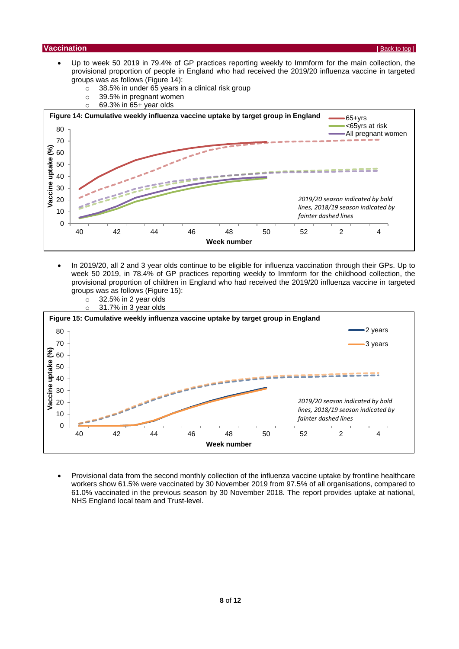#### <span id="page-7-0"></span>**Vaccination |** [Back to top](#page-0-1) |

- Up to week 50 2019 in 79.4% of GP practices reporting weekly to Immform for the main collection, the provisional proportion of people in England who had received the 2019/20 influenza vaccine in targeted groups was as follows (Figure 14):
	- o 38.5% in under 65 years in a clinical risk group
	- o 39.5% in pregnant women
	- $\circ$  69.3% in 65+ year olds



- In 2019/20, all 2 and 3 year olds continue to be eligible for influenza vaccination through their GPs. Up to week 50 2019, in 78.4% of GP practices reporting weekly to Immform for the childhood collection, the provisional proportion of children in England who had received the 2019/20 influenza vaccine in targeted groups was as follows (Figure 15):
	- $\circ$  32.5% in 2 year olds
	- o 31.7% in 3 year olds



 Provisional data from the second monthly collection of the influenza vaccine uptake by frontline healthcare workers show 61.5% were vaccinated by 30 November 2019 from 97.5% of all organisations, compared to 61.0% vaccinated in the previous season by 30 November 2018. The report provides uptake at national, NHS England local team and Trust-level.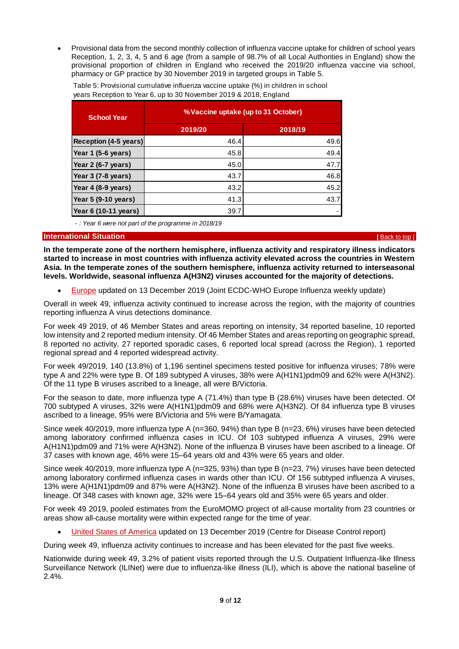Provisional data from the second monthly collection of influenza vaccine uptake for children of school years Reception, 1, 2, 3, 4, 5 and 6 age (from a sample of 98.7% of all Local Authorities in England) show the provisional proportion of children in England who received the 2019/20 influenza vaccine via school, pharmacy or GP practice by 30 November 2019 in targeted groups in Table 5.

| <b>School Year</b>    | % Vaccine uptake (up to 31 October) |         |  |  |  |  |  |
|-----------------------|-------------------------------------|---------|--|--|--|--|--|
|                       | 2019/20                             | 2018/19 |  |  |  |  |  |
| Reception (4-5 years) | 46.4                                | 49.6    |  |  |  |  |  |
| Year 1 (5-6 years)    | 45.8                                | 49.4    |  |  |  |  |  |
| Year 2 (6-7 years)    | 45.0                                | 47.7    |  |  |  |  |  |
| Year 3 (7-8 years)    | 43.7                                | 46.8    |  |  |  |  |  |
| Year 4 (8-9 years)    | 43.2                                | 45.2    |  |  |  |  |  |
| Year 5 (9-10 years)   | 41.3                                | 43.7    |  |  |  |  |  |
| Year 6 (10-11 years)  | 39.7                                | ۰       |  |  |  |  |  |

Table 5: Provisional cumulative influenza vaccine uptake (%) in children in school years Reception to Year 6, up to 30 November 2019 & 2018, England

 *- : Year 6 were not part of the programme in 2018/19*

#### <span id="page-8-0"></span>**International Situation |** [Back to top](#page-0-1) |

**In the temperate zone of the northern hemisphere, influenza activity and respiratory illness indicators started to increase in most countries with influenza activity elevated across the countries in Western Asia. In the temperate zones of the southern hemisphere, influenza activity returned to interseasonal levels. Worldwide, seasonal influenza A(H3N2) viruses accounted for the majority of detections.**

[Europe](http://flunewseurope.org/) updated on 13 December 2019 (Joint ECDC-WHO Europe Influenza weekly update)

Overall in week 49, influenza activity continued to increase across the region, with the majority of countries reporting influenza A virus detections dominance.

For week 49 2019, of 46 Member States and areas reporting on intensity, 34 reported baseline, 10 reported low intensity and 2 reported medium intensity. Of 46 Member States and areas reporting on geographic spread, 8 reported no activity, 27 reported sporadic cases, 6 reported local spread (across the Region), 1 reported regional spread and 4 reported widespread activity.

For week 49/2019, 140 (13.8%) of 1,196 sentinel specimens tested positive for influenza viruses; 78% were type A and 22% were type B. Of 189 subtyped A viruses, 38% were A(H1N1)pdm09 and 62% were A(H3N2). Of the 11 type B viruses ascribed to a lineage, all were B/Victoria.

For the season to date, more influenza type A (71.4%) than type B (28.6%) viruses have been detected. Of 700 subtyped A viruses, 32% were A(H1N1)pdm09 and 68% were A(H3N2). Of 84 influenza type B viruses ascribed to a lineage, 95% were B/Victoria and 5% were B/Yamagata.

Since week 40/2019, more influenza type A (n=360, 94%) than type B (n=23, 6%) viruses have been detected among laboratory confirmed influenza cases in ICU. Of 103 subtyped influenza A viruses, 29% were A(H1N1)pdm09 and 71% were A(H3N2). None of the influenza B viruses have been ascribed to a lineage. Of 37 cases with known age, 46% were 15–64 years old and 43% were 65 years and older.

Since week 40/2019, more influenza type A (n=325, 93%) than type B (n=23, 7%) viruses have been detected among laboratory confirmed influenza cases in wards other than ICU. Of 156 subtyped influenza A viruses, 13% were A(H1N1)pdm09 and 87% were A(H3N2). None of the influenza B viruses have been ascribed to a lineage. Of 348 cases with known age, 32% were 15–64 years old and 35% were 65 years and older.

For week 49 2019, pooled estimates from the EuroMOMO project of all-cause mortality from 23 countries or areas show all-cause mortality were within expected range for the time of year.

[United States of America](http://www.cdc.gov/flu/weekly/) updated on 13 December 2019 (Centre for Disease Control report)

During week 49, influenza activity continues to increase and has been elevated for the past five weeks.

Nationwide during week 49, 3.2% of patient visits reported through the U.S. Outpatient Influenza-like Illness Surveillance Network (ILINet) were due to influenza-like illness (ILI), which is above the national baseline of 2.4%.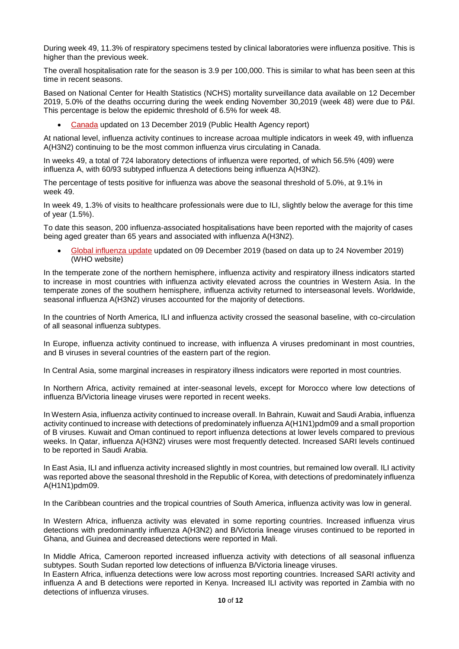During week 49, 11.3% of respiratory specimens tested by clinical laboratories were influenza positive. This is higher than the previous week.

The overall hospitalisation rate for the season is 3.9 per 100,000. This is similar to what has been seen at this time in recent seasons.

Based on National Center for Health Statistics (NCHS) mortality surveillance data available on 12 December 2019, 5.0% of the deaths occurring during the week ending November 30,2019 (week 48) were due to P&I. This percentage is below the epidemic threshold of 6.5% for week 48.

[Canada](http://healthycanadians.gc.ca/diseases-conditions-maladies-affections/disease-maladie/flu-grippe/surveillance/fluwatch-reports-rapports-surveillance-influenza-eng.php) updated on 13 December 2019 (Public Health Agency report)

At national level, influenza activity continues to increase acroaa multiple indicators in week 49, with influenza A(H3N2) continuing to be the most common influenza virus circulating in Canada.

In weeks 49, a total of 724 laboratory detections of influenza were reported, of which 56.5% (409) were influenza A, with 60/93 subtyped influenza A detections being influenza A(H3N2).

The percentage of tests positive for influenza was above the seasonal threshold of 5.0%, at 9.1% in week 49.

In week 49, 1.3% of visits to healthcare professionals were due to ILI, slightly below the average for this time of year (1.5%).

To date this season, 200 influenza-associated hospitalisations have been reported with the majority of cases being aged greater than 65 years and associated with influenza A(H3N2).

 [Global influenza update](http://www.who.int/influenza/surveillance_monitoring/updates/latest_update_GIP_surveillance/en/index.html) updated on 09 December 2019 (based on data up to 24 November 2019) (WHO website)

In the temperate zone of the northern hemisphere, influenza activity and respiratory illness indicators started to increase in most countries with influenza activity elevated across the countries in Western Asia. In the temperate zones of the southern hemisphere, influenza activity returned to interseasonal levels. Worldwide, seasonal influenza A(H3N2) viruses accounted for the majority of detections.

In the countries of North America, ILI and influenza activity crossed the seasonal baseline, with co-circulation of all seasonal influenza subtypes.

In Europe, influenza activity continued to increase, with influenza A viruses predominant in most countries, and B viruses in several countries of the eastern part of the region.

In Central Asia, some marginal increases in respiratory illness indicators were reported in most countries.

In Northern Africa, activity remained at inter-seasonal levels, except for Morocco where low detections of influenza B/Victoria lineage viruses were reported in recent weeks.

In Western Asia, influenza activity continued to increase overall. In Bahrain, Kuwait and Saudi Arabia, influenza activity continued to increase with detections of predominately influenza A(H1N1)pdm09 and a small proportion of B viruses. Kuwait and Oman continued to report influenza detections at lower levels compared to previous weeks. In Qatar, influenza A(H3N2) viruses were most frequently detected. Increased SARI levels continued to be reported in Saudi Arabia.

In East Asia, ILI and influenza activity increased slightly in most countries, but remained low overall. ILI activity was reported above the seasonal threshold in the Republic of Korea, with detections of predominately influenza A(H1N1)pdm09.

In the Caribbean countries and the tropical countries of South America, influenza activity was low in general.

In Western Africa, influenza activity was elevated in some reporting countries. Increased influenza virus detections with predominantly influenza A(H3N2) and B/Victoria lineage viruses continued to be reported in Ghana, and Guinea and decreased detections were reported in Mali.

In Middle Africa, Cameroon reported increased influenza activity with detections of all seasonal influenza subtypes. South Sudan reported low detections of influenza B/Victoria lineage viruses.

In Eastern Africa, influenza detections were low across most reporting countries. Increased SARI activity and influenza A and B detections were reported in Kenya. Increased ILI activity was reported in Zambia with no detections of influenza viruses.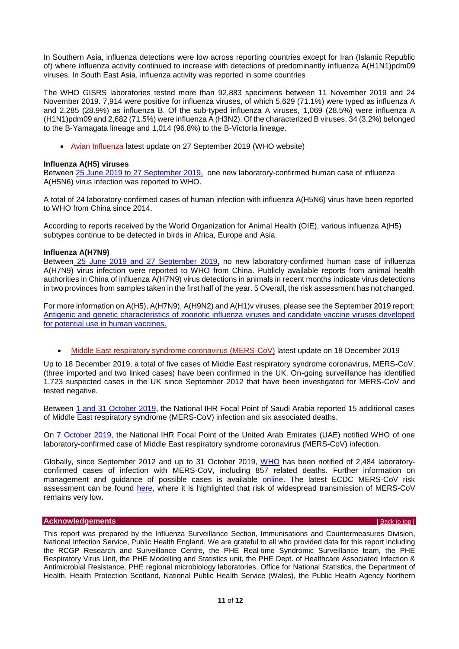In Southern Asia, influenza detections were low across reporting countries except for Iran (Islamic Republic of) where influenza activity continued to increase with detections of predominantly influenza A(H1N1)pdm09 viruses. In South East Asia, influenza activity was reported in some countries

The WHO GISRS laboratories tested more than 92,883 specimens between 11 November 2019 and 24 November 2019. 7,914 were positive for influenza viruses, of which 5,629 (71.1%) were typed as influenza A and 2,285 (28.9%) as influenza B. Of the sub-typed influenza A viruses, 1,069 (28.5%) were influenza A (H1N1)pdm09 and 2,682 (71.5%) were influenza A (H3N2). Of the characterized B viruses, 34 (3.2%) belonged to the B-Yamagata lineage and 1,014 (96.8%) to the B-Victoria lineage.

• [Avian Influenza](http://www.who.int/csr/disease/avian_influenza/en/) latest update on 27 September 2019 (WHO website)

#### **Influenza A(H5) viruses**

Between [25 June 2019 to 27 September 2019,](https://www.who.int/influenza/human_animal_interface/Influenza_Summary_IRA_HA_interface_27_09_2019.pdf?ua=1) one new laboratory-confirmed human case of influenza A(H5N6) virus infection was reported to WHO.

A total of 24 laboratory-confirmed cases of human infection with influenza A(H5N6) virus have been reported to WHO from China since 2014.

According to reports received by the World Organization for Animal Health (OIE), various influenza A(H5) subtypes continue to be detected in birds in Africa, Europe and Asia.

#### **Influenza A(H7N9)**

Between [25 June 2019 and 27 September 2019,](https://www.who.int/influenza/human_animal_interface/Influenza_Summary_IRA_HA_interface_27_09_2019.pdf?ua=1) no new laboratory-confirmed human case of influenza A(H7N9) virus infection were reported to WHO from China. Publicly available reports from animal health authorities in China of influenza A(H7N9) virus detections in animals in recent months indicate virus detections in two provinces from samples taken in the first half of the year. 5 Overall, the risk assessment has not changed.

For more information on A(H5), A(H7N9), A(H9N2) and A(H1)v viruses, please see the September 2019 report: [Antigenic and genetic characteristics of zoonotic influenza viruses and candidate vaccine viruses developed](https://www.who.int/influenza/vaccines/virus/201909_zoonotic_vaccinevirusupdate.pdf?ua=1)  [for potential use in human vaccines.](https://www.who.int/influenza/vaccines/virus/201909_zoonotic_vaccinevirusupdate.pdf?ua=1)

#### [Middle East respiratory syndrome coronavirus \(MERS-CoV\)](http://www.who.int/emergencies/mers-cov/en/) latest update on 18 December 2019

Up to 18 December 2019, a total of five cases of Middle East respiratory syndrome coronavirus, MERS-CoV, (three imported and two linked cases) have been confirmed in the UK. On-going surveillance has identified 1,723 suspected cases in the UK since September 2012 that have been investigated for MERS-CoV and tested negative.

Between [1 and 31 October 2019,](https://www.who.int/csr/don/05-december-2019-mers-saudi-arabia/en/) the National IHR Focal Point of Saudi Arabia reported 15 additional cases of Middle East respiratory syndrome (MERS-CoV) infection and six associated deaths.

On [7 October 2019,](https://www.who.int/csr/don/31-october-2019-mers-the-united-arab-emirates/en/) the National IHR Focal Point of the United Arab Emirates (UAE) notified WHO of one laboratory-confirmed case of Middle East respiratory syndrome coronavirus (MERS-CoV) infection.

Globally, since September 2012 and up to 31 October 2019, [WHO](http://www.emro.who.int/health-topics/mers-cov/mers-outbreaks.html) has been notified of 2,484 laboratoryconfirmed cases of infection with MERS-CoV, including 857 related deaths. Further information on management and guidance of possible cases is available [online.](https://www.gov.uk/government/publications/mers-cov-public-health-investigation-and-management-of-possible-cases) The latest ECDC MERS-CoV risk assessment can be found [here,](https://ecdc.europa.eu/sites/portal/files/documents/RRA-Severe-respiratory-disease-associated-MERS-CoV-22nd%20update-29-aug-2018.pdf) where it is highlighted that risk of widespread transmission of MERS-CoV remains very low.

#### <span id="page-10-0"></span>**Acknowledgements** *[Back to top](#page-0-1) | Back to top | Back to top | Back to top | Back to top | Back to top | Back to top | Back to top | Back to top | Back to top | Back to top | Back to top | Back to top | Back to top | Back*

This report was prepared by the Influenza Surveillance Section, Immunisations and Countermeasures Division, National Infection Service, Public Health England. We are grateful to all who provided data for this report including the RCGP Research and Surveillance Centre, the PHE Real-time Syndromic Surveillance team, the PHE Respiratory Virus Unit, the PHE Modelling and Statistics unit, the PHE Dept. of Healthcare Associated Infection & Antimicrobial Resistance, PHE regional microbiology laboratories, Office for National Statistics, the Department of Health, Health Protection Scotland, National Public Health Service (Wales), the Public Health Agency Northern